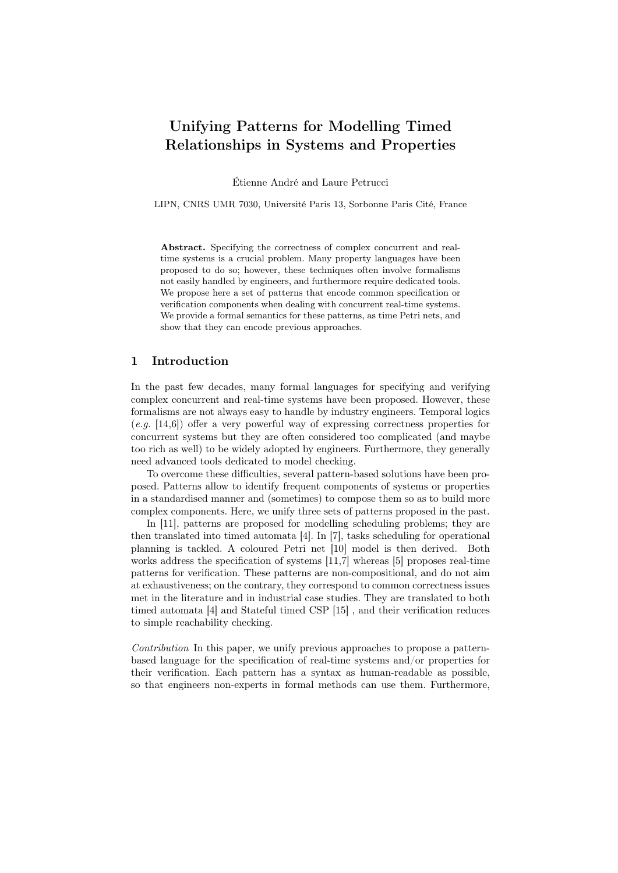# Unifying Patterns for Modelling Timed Relationships in Systems and Properties

Étienne André and Laure Petrucci

LIPN, CNRS UMR 7030, Université Paris 13, Sorbonne Paris Cité, France

Abstract. Specifying the correctness of complex concurrent and realtime systems is a crucial problem. Many property languages have been proposed to do so; however, these techniques often involve formalisms not easily handled by engineers, and furthermore require dedicated tools. We propose here a set of patterns that encode common specification or verification components when dealing with concurrent real-time systems. We provide a formal semantics for these patterns, as time Petri nets, and show that they can encode previous approaches.

#### $\mathbf{1}$ Introduction

In the past few decades, many formal languages for specifying and verifying complex concurrent and real-time systems have been proposed. However, these formalisms are not always easy to handle by industry engineers. Temporal logics  $(e.g. [14,6])$  offer a very powerful way of expressing correctness properties for concurrent systems but they are often considered too complicated (and maybe too rich as well) to be widely adopted by engineers. Furthermore, they generally need advanced tools dedicated to model checking.

To overcome these difficulties, several pattern-based solutions have been proposed. Patterns allow to identify frequent components of systems or properties in a standardised manner and (sometimes) to compose them so as to build more complex components. Here, we unify three sets of patterns proposed in the past.

In [11], patterns are proposed for modelling scheduling problems; they are then translated into timed automata  $[4]$ . In  $[7]$ , tasks scheduling for operational planning is tackled. A coloured Petri net [10] model is then derived. Both works address the specification of systems [11,7] whereas [5] proposes real-time patterns for verification. These patterns are non-compositional, and do not aim at exhaustiveness; on the contrary, they correspond to common correctness issues met in the literature and in industrial case studies. They are translated to both timed automata [4] and Stateful timed CSP [15], and their verification reduces to simple reachability checking.

*Contribution* In this paper, we unify previous approaches to propose a patternbased language for the specification of real-time systems and/or properties for their verification. Each pattern has a syntax as human-readable as possible, so that engineers non-experts in formal methods can use them. Furthermore,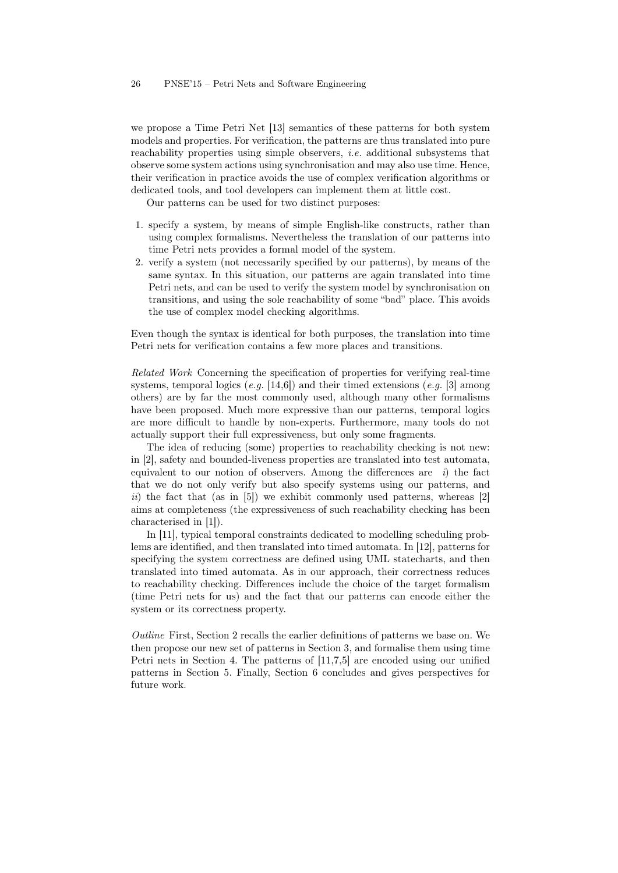we propose a Time Petri Net [13] semantics of these patterns for both system models and properties. For verification, the patterns are thus translated into pure reachability properties using simple observers, i.e. additional subsystems that observe some system actions using synchronisation and may also use time. Hence, their verification in practice avoids the use of complex verification algorithms or dedicated tools, and tool developers can implement them at little cost.

Our patterns can be used for two distinct purposes:

- 1. specify a system, by means of simple English-like constructs, rather than using complex formalisms. Nevertheless the translation of our patterns into time Petri nets provides a formal model of the system.
- 2. verify a system (not necessarily specified by our patterns), by means of the same syntax. In this situation, our patterns are again translated into time Petri nets, and can be used to verify the system model by synchronisation on transitions, and using the sole reachability of some "bad" place. This avoids the use of complex model checking algorithms.

Even though the syntax is identical for both purposes, the translation into time Petri nets for verification contains a few more places and transitions.

Related Work Concerning the specification of properties for verifying real-time systems, temporal logics (e.g. [14,6]) and their timed extensions (e.g. [3] among others) are by far the most commonly used, although many other formalisms have been proposed. Much more expressive than our patterns, temporal logics are more difficult to handle by non-experts. Furthermore, many tools do not actually support their full expressiveness, but only some fragments.

The idea of reducing (some) properties to reachability checking is not new: in [2], safety and bounded-liveness properties are translated into test automata, equivalent to our notion of observers. Among the differences are  $i)$  the fact that we do not only verify but also specify systems using our patterns, and ii) the fact that (as in  $[5]$ ) we exhibit commonly used patterns, whereas  $[2]$ aims at completeness (the expressiveness of such reachability checking has been characterised in [1]).

In [11], typical temporal constraints dedicated to modelling scheduling problems are identified, and then translated into timed automata. In [12], patterns for specifying the system correctness are defined using UML statecharts, and then translated into timed automata. As in our approach, their correctness reduces to reachability checking. Differences include the choice of the target formalism (time Petri nets for us) and the fact that our patterns can encode either the system or its correctness property.

Outline First, Section 2 recalls the earlier definitions of patterns we base on. We then propose our new set of patterns in Section 3, and formalise them using time Petri nets in Section 4. The patterns of [11,7,5] are encoded using our unified patterns in Section 5. Finally, Section 6 concludes and gives perspectives for future work.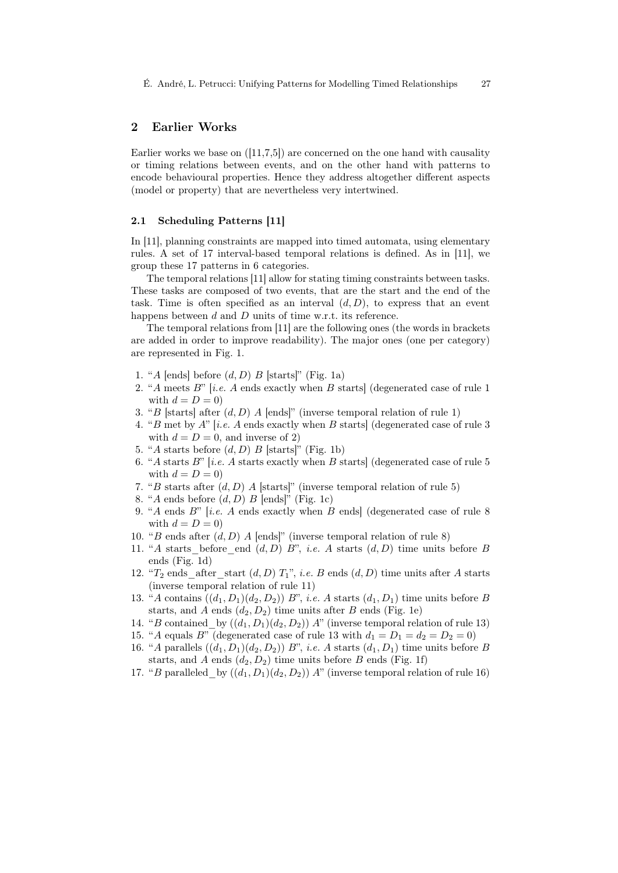# 2 Earlier Works

Earlier works we base on  $([11,7,5])$  are concerned on the one hand with causality or timing relations between events, and on the other hand with patterns to encode behavioural properties. Hence they address altogether different aspects (model or property) that are nevertheless very intertwined.

### 2.1 Scheduling Patterns [11]

In [11], planning constraints are mapped into timed automata, using elementary rules. A set of 17 interval-based temporal relations is defined. As in [11], we group these 17 patterns in 6 categories.

The temporal relations [11] allow for stating timing constraints between tasks. These tasks are composed of two events, that are the start and the end of the task. Time is often specified as an interval  $(d, D)$ , to express that an event happens between d and D units of time w.r.t. its reference.

The temporal relations from [11] are the following ones (the words in brackets are added in order to improve readability). The major ones (one per category) are represented in Fig. 1.

- 1. "A [ends] before  $(d, D)$  B [starts]" (Fig. 1a)
- 2. "A meets  $B$ " [i.e. A ends exactly when B starts] (degenerated case of rule 1 with  $d = D = 0$ )
- 3. "B [starts] after  $(d, D)$  A [ends]" (inverse temporal relation of rule 1)
- 4. "B met by  $A$ " [i.e. A ends exactly when B starts] (degenerated case of rule 3 with  $d = D = 0$ , and inverse of 2)
- 5. "A starts before  $(d, D)$  B [starts]" (Fig. 1b)
- 6. "A starts B" [i.e. A starts exactly when B starts] (degenerated case of rule 5 with  $d = D = 0$
- 7. "B starts after  $(d, D)$  A [starts]" (inverse temporal relation of rule 5)
- 8. "A ends before  $(d, D)$  B [ends]" (Fig. 1c)
- 9. "A ends  $B$ " [i.e. A ends exactly when B ends] (degenerated case of rule 8 with  $d = D = 0$ )
- 10. "B ends after  $(d, D)$  A [ends]" (inverse temporal relation of rule 8)
- 11. "A starts before end  $(d, D)$  B", i.e. A starts  $(d, D)$  time units before B ends (Fig. 1d)
- 12. " $T_2$  ends after start  $(d, D)$   $T_1$ ", *i.e.* B ends  $(d, D)$  time units after A starts (inverse temporal relation of rule 11)
- 13. "A contains  $((d_1, D_1)(d_2, D_2))$  B", *i.e.* A starts  $(d_1, D_1)$  time units before B starts, and A ends  $(d_2, D_2)$  time units after B ends (Fig. 1e)
- 14. "B contained by  $((d_1, D_1)(d_2, D_2))$  A" (inverse temporal relation of rule 13)
- 15. "A equals B" (degenerated case of rule 13 with  $d_1 = D_1 = d_2 = D_2 = 0$ )
- 16. "A parallels  $((d_1, D_1)(d_2, D_2))$  B", *i.e.* A starts  $(d_1, D_1)$  time units before B starts, and A ends  $(d_2, D_2)$  time units before B ends (Fig. 1f)
- 17. "B paralleled by  $((d_1, D_1)(d_2, D_2))$  A" (inverse temporal relation of rule 16)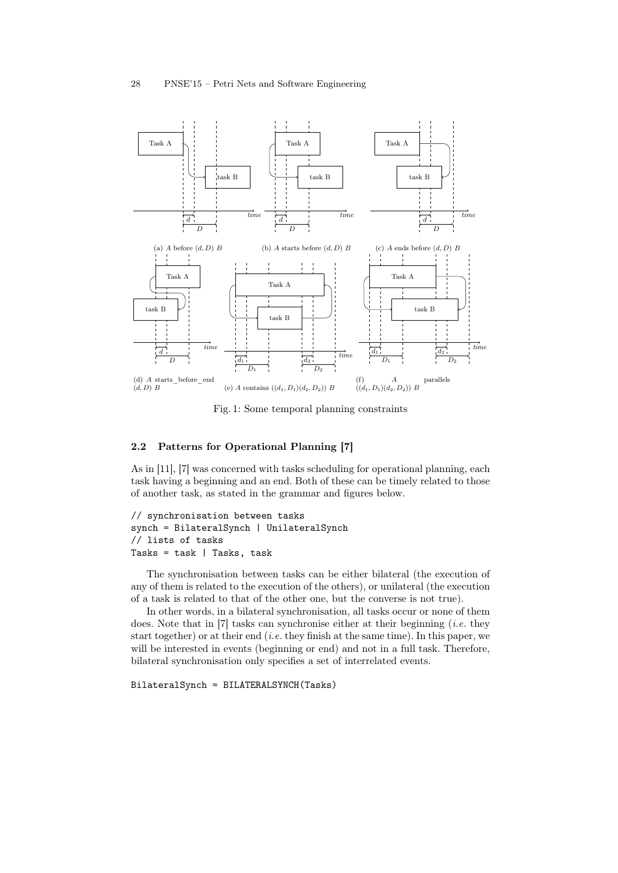

Fig. 1: Some temporal planning constraints

# 2.2 Patterns for Operational Planning [7]

As in [11], [7] was concerned with tasks scheduling for operational planning, each task having a beginning and an end. Both of these can be timely related to those of another task, as stated in the grammar and figures below.

```
// synchronisation between tasks
synch = BilateralSynch | UnilateralSynch
// lists of tasks
Tasks = task | Tasks, task
```
The synchronisation between tasks can be either bilateral (the execution of any of them is related to the execution of the others), or unilateral (the execution of a task is related to that of the other one, but the converse is not true).

In other words, in a bilateral synchronisation, all tasks occur or none of them does. Note that in  $[7]$  tasks can synchronise either at their beginning *(i.e.* they start together) or at their end (*i.e.* they finish at the same time). In this paper, we will be interested in events (beginning or end) and not in a full task. Therefore, bilateral synchronisation only specifies a set of interrelated events.

BilateralSynch = BILATERALSYNCH(Tasks)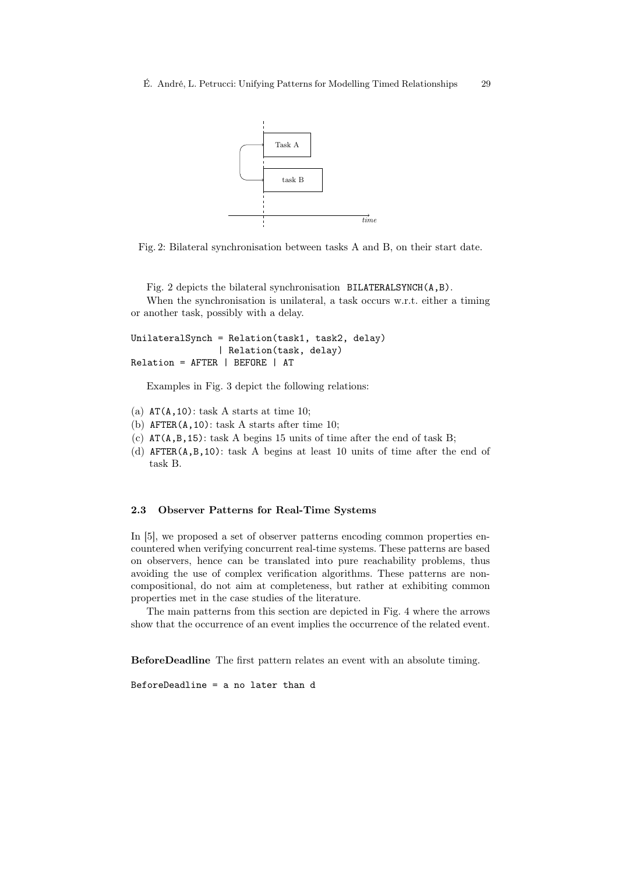

Fig. 2: Bilateral synchronisation between tasks A and B, on their start date.

Fig. 2 depicts the bilateral synchronisation BILATERALSYNCH(A,B).

When the synchronisation is unilateral, a task occurs w.r.t. either a timing or another task, possibly with a delay.

```
UnilateralSynch = Relation(task1, task2, delay)
                | Relation(task, delay)
Relation = AFTER | BEFORE | AT
```
Examples in Fig. 3 depict the following relations:

- (a)  $AT(A, 10)$ : task A starts at time 10;
- (b) AFTER(A,10): task A starts after time 10;
- (c)  $AT(A,B,15)$ : task A begins 15 units of time after the end of task B;
- (d) AFTER(A,B,10): task A begins at least 10 units of time after the end of task B.

#### 2.3 Observer Patterns for Real-Time Systems

In [5], we proposed a set of observer patterns encoding common properties encountered when verifying concurrent real-time systems. These patterns are based on observers, hence can be translated into pure reachability problems, thus avoiding the use of complex verification algorithms. These patterns are noncompositional, do not aim at completeness, but rather at exhibiting common properties met in the case studies of the literature.

The main patterns from this section are depicted in Fig. 4 where the arrows show that the occurrence of an event implies the occurrence of the related event.

BeforeDeadline The first pattern relates an event with an absolute timing.

BeforeDeadline = a no later than d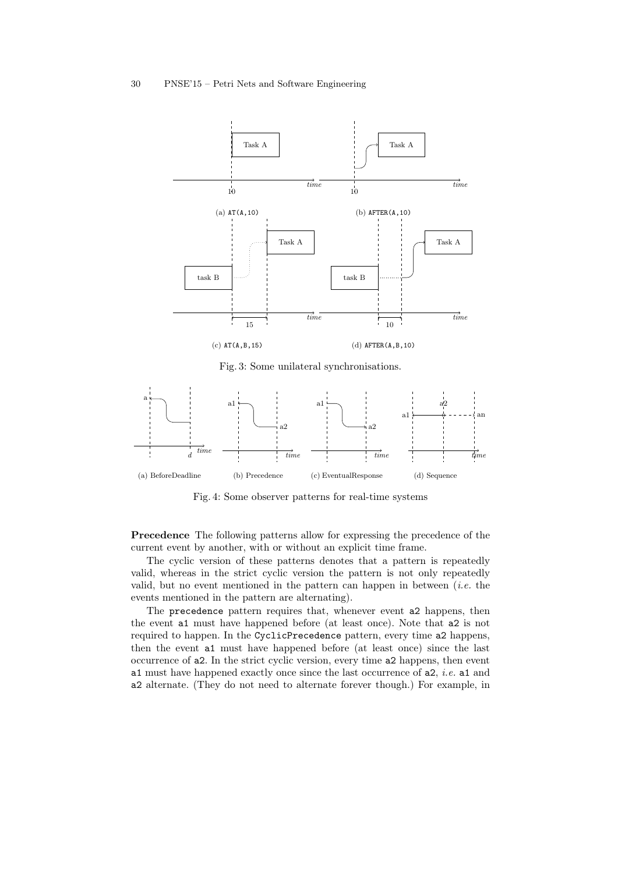#### 30 PNSE'15 – Petri Nets and Software Engineering



Fig. 3: Some unilateral synchronisations.



Fig. 4: Some observer patterns for real-time systems

Precedence The following patterns allow for expressing the precedence of the current event by another, with or without an explicit time frame.

The cyclic version of these patterns denotes that a pattern is repeatedly valid, whereas in the strict cyclic version the pattern is not only repeatedly valid, but no event mentioned in the pattern can happen in between  $(i.e.$  the events mentioned in the pattern are alternating).

The precedence pattern requires that, whenever event a2 happens, then the event a1 must have happened before (at least once). Note that a2 is not required to happen. In the CyclicPrecedence pattern, every time a2 happens, then the event a1 must have happened before (at least once) since the last occurrence of a2. In the strict cyclic version, every time a2 happens, then event a1 must have happened exactly once since the last occurrence of  $a2$ , *i.e.* a1 and a2 alternate. (They do not need to alternate forever though.) For example, in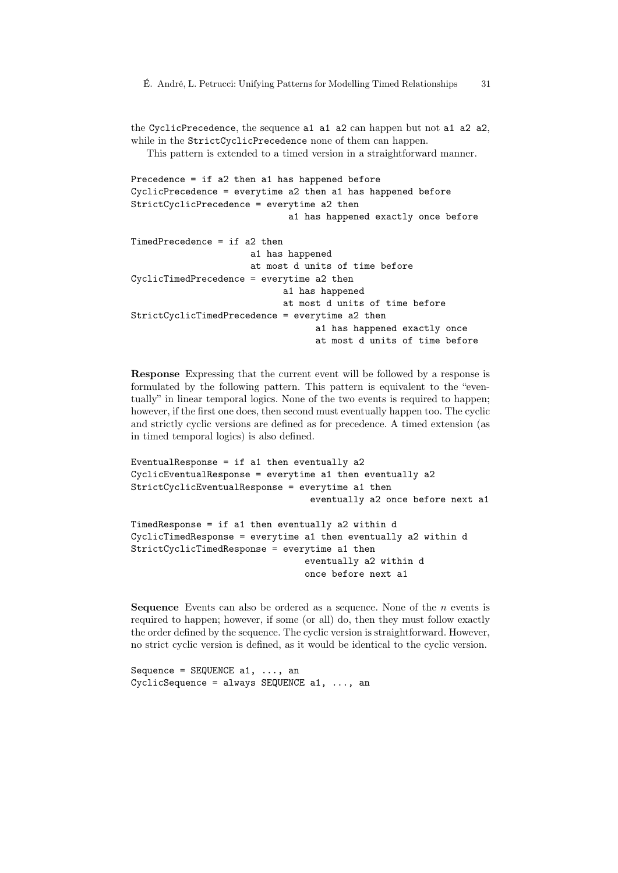the CyclicPrecedence, the sequence a1 a1 a2 can happen but not a1 a2 a2, while in the StrictCyclicPrecedence none of them can happen.

```
This pattern is extended to a timed version in a straightforward manner.
```

```
Precedence = if a2 then a1 has happened before
CyclicPrecedence = everytime a2 then a1 has happened before
StrictCyclicPrecedence = everytime a2 then
                             a1 has happened exactly once before
TimedPrecedence = if a2 then
                      a1 has happened
                      at most d units of time before
CyclicTimedPrecedence = everytime a2 then
                            a1 has happened
                            at most d units of time before
StrictCyclicTimedPrecedence = everytime a2 then
                                  a1 has happened exactly once
                                  at most d units of time before
```
Response Expressing that the current event will be followed by a response is formulated by the following pattern. This pattern is equivalent to the "eventually" in linear temporal logics. None of the two events is required to happen; however, if the first one does, then second must eventually happen too. The cyclic and strictly cyclic versions are defined as for precedence. A timed extension (as in timed temporal logics) is also defined.

```
EventualResponse = if a1 then eventually a2
CyclicEventualResponse = everytime a1 then eventually a2
StrictCyclicEventualResponse = everytime a1 then
                                 eventually a2 once before next a1
TimedResponse = if a1 then eventually a2 within d
CyclicTimedResponse = everytime a1 then eventually a2 within d
StrictCyclicTimedResponse = everytime a1 then
                                eventually a2 within d
                                once before next a1
```
**Sequence** Events can also be ordered as a sequence. None of the  $n$  events is required to happen; however, if some (or all) do, then they must follow exactly the order defined by the sequence. The cyclic version is straightforward. However, no strict cyclic version is defined, as it would be identical to the cyclic version.

```
Sequence = SEQUENCE a1, ..., an
CyclicSequence = always SEQUENCE a1, ..., an
```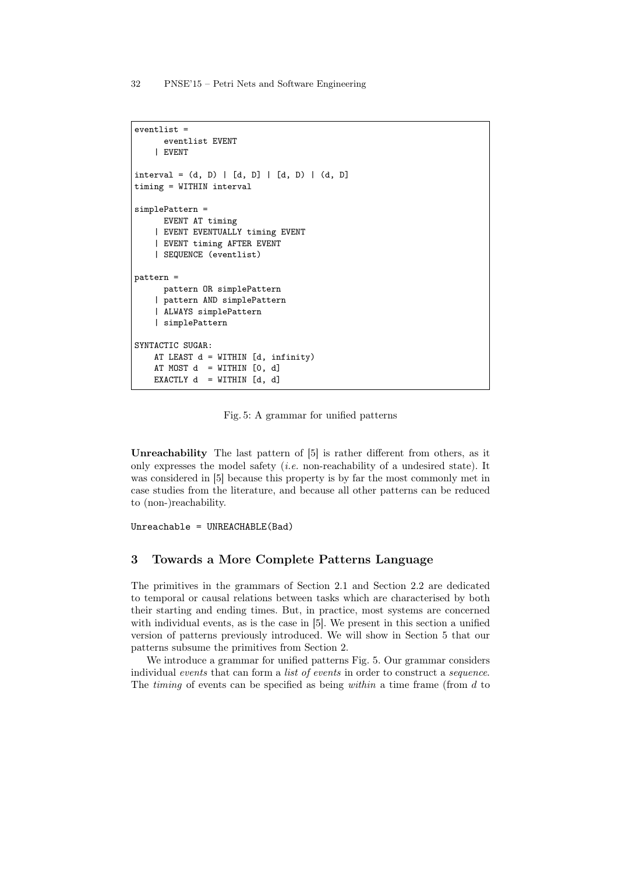32 PNSE'15 – Petri Nets and Software Engineering

```
eventlist =
      eventlist EVENT
    | EVENT
interval = (d, D) | [d, D] | [d, D) | (d, D]timing = WITHIN interval
simplePattern =
     EVENT AT timing
    | EVENT EVENTUALLY timing EVENT
    | EVENT timing AFTER EVENT
    | SEQUENCE (eventlist)
pattern =
     pattern OR simplePattern
    | pattern AND simplePattern
    | ALWAYS simplePattern
    | simplePattern
SYNTACTIC SUGAR:
   AT LEAST d = WITHIN [d, infinity)
    AT MOST d = WITHIN [0, d]EXACTLY d = WITHIN [d, d]
```
Fig. 5: A grammar for unified patterns

Unreachability The last pattern of [5] is rather different from others, as it only expresses the model safety (*i.e.* non-reachability of a undesired state). It was considered in [5] because this property is by far the most commonly met in case studies from the literature, and because all other patterns can be reduced to (non-)reachability.

Unreachable = UNREACHABLE(Bad)

# 3 Towards a More Complete Patterns Language

The primitives in the grammars of Section 2.1 and Section 2.2 are dedicated to temporal or causal relations between tasks which are characterised by both their starting and ending times. But, in practice, most systems are concerned with individual events, as is the case in [5]. We present in this section a unified version of patterns previously introduced. We will show in Section 5 that our patterns subsume the primitives from Section 2.

We introduce a grammar for unified patterns Fig. 5. Our grammar considers individual events that can form a *list of events* in order to construct a *sequence*. The timing of events can be specified as being within a time frame (from d to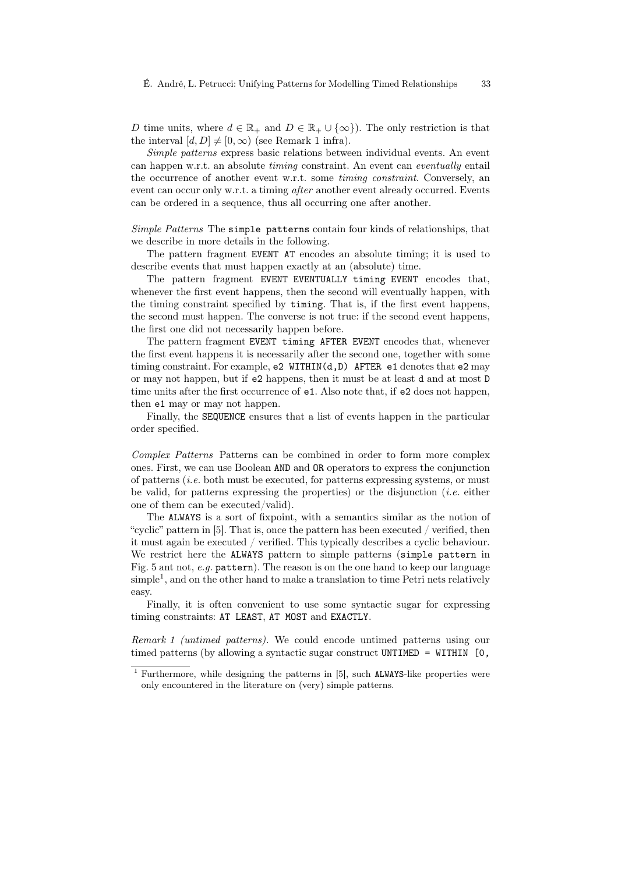D time units, where  $d \in \mathbb{R}_+$  and  $D \in \mathbb{R}_+ \cup \{\infty\}$ . The only restriction is that the interval  $[d, D] \neq [0, \infty)$  (see Remark 1 infra).

Simple patterns express basic relations between individual events. An event can happen w.r.t. an absolute timing constraint. An event can eventually entail the occurrence of another event w.r.t. some timing constraint. Conversely, an event can occur only w.r.t. a timing after another event already occurred. Events can be ordered in a sequence, thus all occurring one after another.

Simple Patterns The simple patterns contain four kinds of relationships, that we describe in more details in the following.

The pattern fragment EVENT AT encodes an absolute timing; it is used to describe events that must happen exactly at an (absolute) time.

The pattern fragment EVENT EVENTUALLY timing EVENT encodes that, whenever the first event happens, then the second will eventually happen, with the timing constraint specified by timing. That is, if the first event happens, the second must happen. The converse is not true: if the second event happens, the first one did not necessarily happen before.

The pattern fragment EVENT timing AFTER EVENT encodes that, whenever the first event happens it is necessarily after the second one, together with some timing constraint. For example,  $e2$  WITHIN( $d$ ,D) AFTER  $e1$  denotes that  $e2$  may or may not happen, but if e2 happens, then it must be at least d and at most D time units after the first occurrence of e1. Also note that, if e2 does not happen, then e1 may or may not happen.

Finally, the SEQUENCE ensures that a list of events happen in the particular order specified.

Complex Patterns Patterns can be combined in order to form more complex ones. First, we can use Boolean AND and OR operators to express the conjunction of patterns (i.e. both must be executed, for patterns expressing systems, or must be valid, for patterns expressing the properties) or the disjunction (i.e. either one of them can be executed/valid).

The ALWAYS is a sort of fixpoint, with a semantics similar as the notion of "cyclic" pattern in [5]. That is, once the pattern has been executed / verified, then it must again be executed / verified. This typically describes a cyclic behaviour. We restrict here the ALWAYS pattern to simple patterns (simple pattern in Fig. 5 ant not, e.g. pattern). The reason is on the one hand to keep our language simple<sup>1</sup>, and on the other hand to make a translation to time Petri nets relatively easy.

Finally, it is often convenient to use some syntactic sugar for expressing timing constraints: AT LEAST, AT MOST and EXACTLY.

Remark 1 (untimed patterns). We could encode untimed patterns using our timed patterns (by allowing a syntactic sugar construct UNTIMED = WITHIN [0,

<sup>1</sup> Furthermore, while designing the patterns in [5], such ALWAYS-like properties were only encountered in the literature on (very) simple patterns.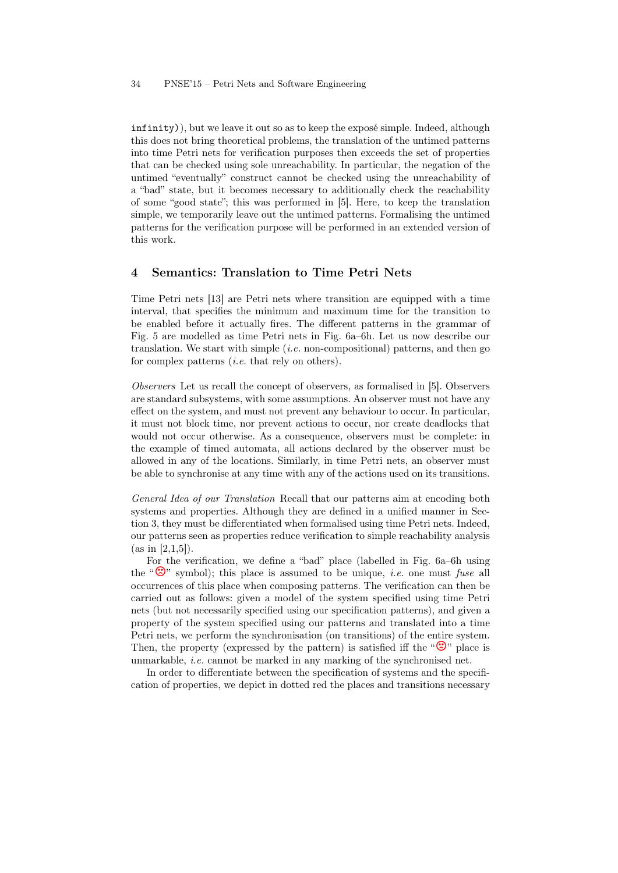infinity), but we leave it out so as to keep the exposé simple. Indeed, although this does not bring theoretical problems, the translation of the untimed patterns into time Petri nets for verification purposes then exceeds the set of properties that can be checked using sole unreachability. In particular, the negation of the untimed "eventually" construct cannot be checked using the unreachability of a "bad" state, but it becomes necessary to additionally check the reachability of some "good state"; this was performed in [5]. Here, to keep the translation simple, we temporarily leave out the untimed patterns. Formalising the untimed patterns for the verification purpose will be performed in an extended version of this work.

### 4 Semantics: Translation to Time Petri Nets

Time Petri nets [13] are Petri nets where transition are equipped with a time interval, that specifies the minimum and maximum time for the transition to be enabled before it actually fires. The different patterns in the grammar of Fig. 5 are modelled as time Petri nets in Fig. 6a–6h. Let us now describe our translation. We start with simple  $(i.e.$  non-compositional) patterns, and then go for complex patterns *(i.e.* that rely on others).

Observers Let us recall the concept of observers, as formalised in [5]. Observers are standard subsystems, with some assumptions. An observer must not have any effect on the system, and must not prevent any behaviour to occur. In particular, it must not block time, nor prevent actions to occur, nor create deadlocks that would not occur otherwise. As a consequence, observers must be complete: in the example of timed automata, all actions declared by the observer must be allowed in any of the locations. Similarly, in time Petri nets, an observer must be able to synchronise at any time with any of the actions used on its transitions.

General Idea of our Translation Recall that our patterns aim at encoding both systems and properties. Although they are defined in a unified manner in Section 3, they must be differentiated when formalised using time Petri nets. Indeed, our patterns seen as properties reduce verification to simple reachability analysis  $(as in [2,1,5]).$ 

For the verification, we define a "bad" place (labelled in Fig. 6a–6h using the " $\mathbb{C}$ " symbol); this place is assumed to be unique, *i.e.* one must fuse all occurrences of this place when composing patterns. The verification can then be carried out as follows: given a model of the system specified using time Petri nets (but not necessarily specified using our specification patterns), and given a property of the system specified using our patterns and translated into a time Petri nets, we perform the synchronisation (on transitions) of the entire system. Then, the property (expressed by the pattern) is satisfied iff the " $\mathcal{L}$ " place is unmarkable, i.e. cannot be marked in any marking of the synchronised net.

In order to differentiate between the specification of systems and the specification of properties, we depict in dotted red the places and transitions necessary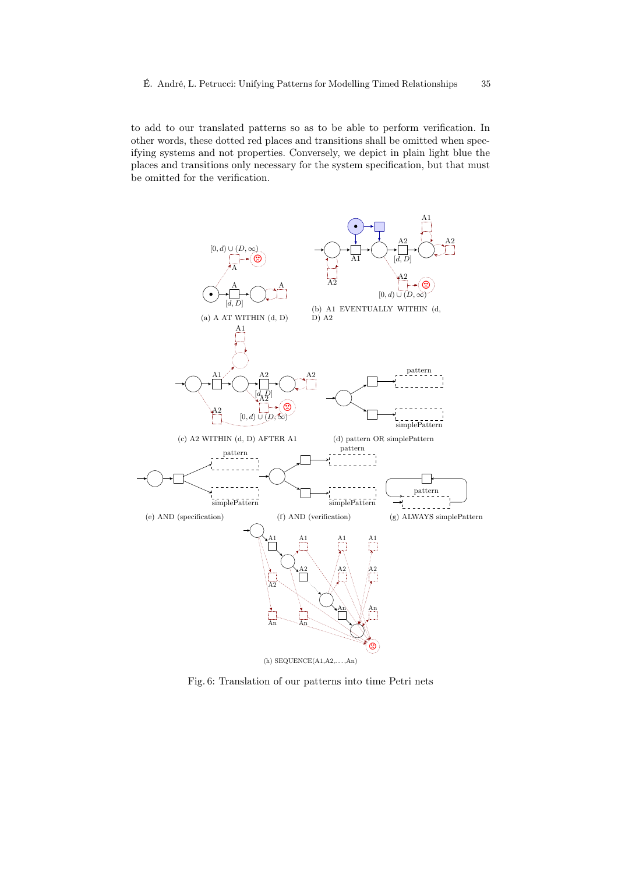to add to our translated patterns so as to be able to perform verification. In other words, these dotted red places and transitions shall be omitted when specifying systems and not properties. Conversely, we depict in plain light blue the places and transitions only necessary for the system specification, but that must be omitted for the verification.



Fig. 6: Translation of our patterns into time Petri nets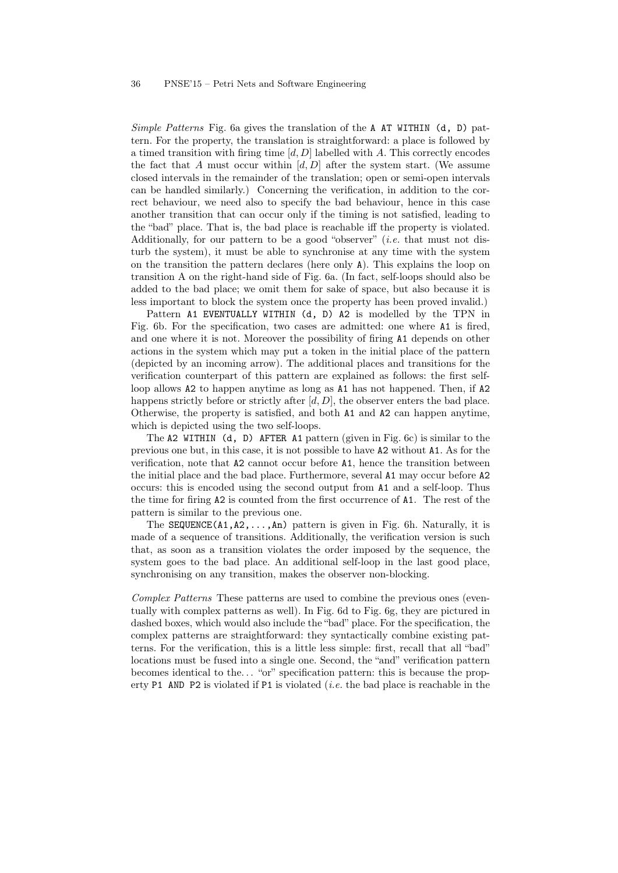Simple Patterns Fig. 6a gives the translation of the A AT WITHIN  $(d, D)$  pattern. For the property, the translation is straightforward: a place is followed by a timed transition with firing time  $[d, D]$  labelled with A. This correctly encodes the fact that A must occur within  $[d, D]$  after the system start. (We assume closed intervals in the remainder of the translation; open or semi-open intervals can be handled similarly.) Concerning the verification, in addition to the correct behaviour, we need also to specify the bad behaviour, hence in this case another transition that can occur only if the timing is not satisfied, leading to the "bad" place. That is, the bad place is reachable iff the property is violated. Additionally, for our pattern to be a good "observer" (*i.e.* that must not disturb the system), it must be able to synchronise at any time with the system on the transition the pattern declares (here only A). This explains the loop on transition A on the right-hand side of Fig. 6a. (In fact, self-loops should also be added to the bad place; we omit them for sake of space, but also because it is less important to block the system once the property has been proved invalid.)

Pattern A1 EVENTUALLY WITHIN (d, D) A2 is modelled by the TPN in Fig. 6b. For the specification, two cases are admitted: one where A1 is fired, and one where it is not. Moreover the possibility of firing A1 depends on other actions in the system which may put a token in the initial place of the pattern (depicted by an incoming arrow). The additional places and transitions for the verification counterpart of this pattern are explained as follows: the first selfloop allows A2 to happen anytime as long as A1 has not happened. Then, if A2 happens strictly before or strictly after  $[d, D]$ , the observer enters the bad place. Otherwise, the property is satisfied, and both A1 and A2 can happen anytime, which is depicted using the two self-loops.

The A2 WITHIN (d, D) AFTER A1 pattern (given in Fig. 6c) is similar to the previous one but, in this case, it is not possible to have A2 without A1. As for the verification, note that A2 cannot occur before A1, hence the transition between the initial place and the bad place. Furthermore, several A1 may occur before A2 occurs: this is encoded using the second output from A1 and a self-loop. Thus the time for firing A2 is counted from the first occurrence of A1. The rest of the pattern is similar to the previous one.

The SEQUENCE(A1,A2,...,An) pattern is given in Fig. 6h. Naturally, it is made of a sequence of transitions. Additionally, the verification version is such that, as soon as a transition violates the order imposed by the sequence, the system goes to the bad place. An additional self-loop in the last good place, synchronising on any transition, makes the observer non-blocking.

Complex Patterns These patterns are used to combine the previous ones (eventually with complex patterns as well). In Fig. 6d to Fig. 6g, they are pictured in dashed boxes, which would also include the "bad" place. For the specification, the complex patterns are straightforward: they syntactically combine existing patterns. For the verification, this is a little less simple: first, recall that all "bad" locations must be fused into a single one. Second, the "and" verification pattern becomes identical to the... "or" specification pattern: this is because the property P1 AND P2 is violated if P1 is violated  $(i.e.$  the bad place is reachable in the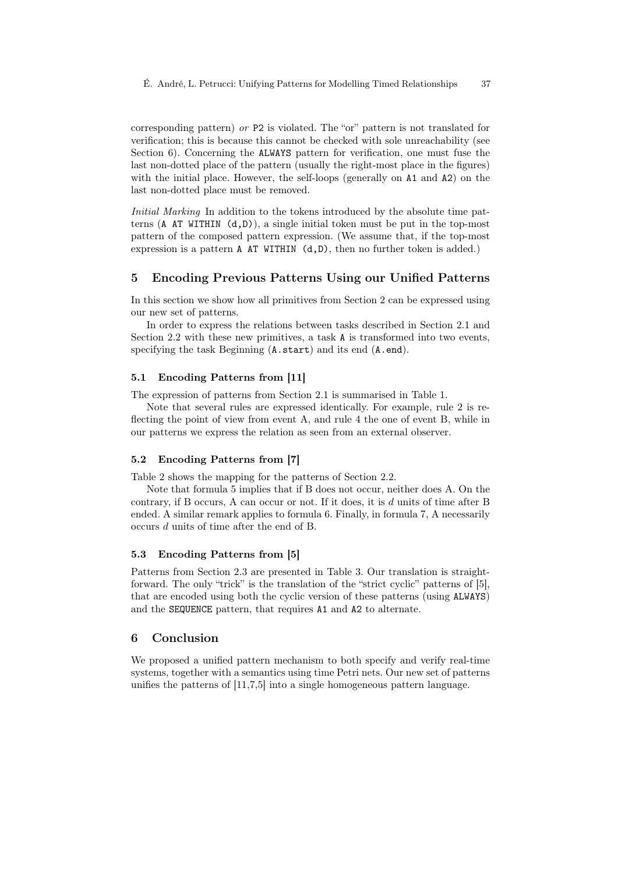corresponding pattern) or P2 is violated. The "or" pattern is not translated for verification; this is because this cannot be checked with sole unreachability (see Section 6). Concerning the ALWAYS pattern for verification, one must fuse the last non-dotted place of the pattern (usually the right-most place in the figures) with the initial place. However, the self-loops (generally on A1 and A2) on the last non-dotted place must be removed.

Initial Marking In addition to the tokens introduced by the absolute time patterns  $(AAT WITHIN (d,D))$ , a single initial token must be put in the top-most pattern of the composed pattern expression. (We assume that, if the top-most expression is a pattern A AT WITHIN (d,D), then no further token is added.)

#### 5 Encoding Previous Patterns Using our Unified Patterns

In this section we show how all primitives from Section 2 can be expressed using our new set of patterns.

In order to express the relations between tasks described in Section 2.1 and Section 2.2 with these new primitives, a task A is transformed into two events, specifying the task Beginning (A.start) and its end (A.end).

#### 5.1 Encoding Patterns from [11]

The expression of patterns from Section 2.1 is summarised in Table 1.

Note that several rules are expressed identically. For example, rule 2 is reflecting the point of view from event A, and rule 4 the one of event B, while in our patterns we express the relation as seen from an external observer.

# 5.2 Encoding Patterns from [7]

Table 2 shows the mapping for the patterns of Section 2.2.

Note that formula 5 implies that if B does not occur, neither does A. On the contrary, if B occurs, A can occur or not. If it does, it is d units of time after B ended. A similar remark applies to formula 6. Finally, in formula 7, A necessarily occurs d units of time after the end of B.

#### 5.3 Encoding Patterns from [5]

Patterns from Section 2.3 are presented in Table 3. Our translation is straightforward. The only "trick" is the translation of the "strict cyclic" patterns of [5], that are encoded using both the cyclic version of these patterns (using ALWAYS) and the SEQUENCE pattern, that requires A1 and A2 to alternate.

# 6 Conclusion

We proposed a unified pattern mechanism to both specify and verify real-time systems, together with a semantics using time Petri nets. Our new set of patterns unifies the patterns of [11,7,5] into a single homogeneous pattern language.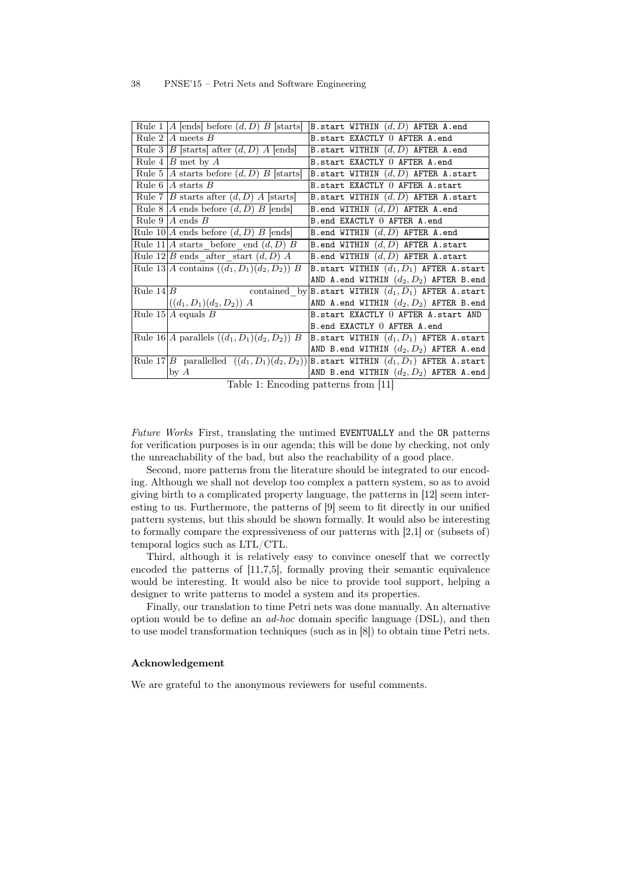|             | Rule 1  A [ends] before $(d, D)$ B [starts]                  | B.start WITHIN $(d, D)$ AFTER A.end                                      |
|-------------|--------------------------------------------------------------|--------------------------------------------------------------------------|
|             | Rule 2 $\vert A \vert$ meets $B$                             | B. start EXACTLY 0 AFTER A. end                                          |
|             | Rule 3   B [starts] after $(d, D)$ A [ends]                  | B.start WITHIN $(d, D)$ AFTER A.end                                      |
|             | Rule 4 $ B \text{ met by } A$                                | B.start EXACTLY 0 AFTER A.end                                            |
|             | Rule 5   A starts before $(d, D)$ B [starts]                 | B.start WITHIN $(d, D)$ AFTER A.start                                    |
|             | Rule 6 $A$ starts $B$                                        | B. start EXACTLY 0 AFTER A. start                                        |
|             | Rule 7   B starts after $(d, D)$ A [starts]                  | B.start WITHIN $(d, D)$ AFTER A.start                                    |
|             | Rule 8   A ends before $(d, D)$ B [ends]                     | B.end WITHIN $(d, D)$ AFTER A.end                                        |
|             | Rule 9 $A$ ends $B$                                          | B.end EXACTLY 0 AFTER A.end                                              |
|             | Rule $10 A$ ends before $(d, D)$ B [ends]                    | B.end WITHIN $(d, D)$ AFTER A.end                                        |
|             | Rule 11   A starts before end $(d, D)$ B                     | B.end WITHIN $(d, D)$ AFTER A.start                                      |
|             | Rule $12 B$ ends after start $(d, D)$ A                      | B.end WITHIN $(d, D)$ AFTER A.start                                      |
|             | Rule 13 A contains $((d_1, D_1)(d_2, D_2))$ B                | B.start WITHIN $(d_1, D_1)$ AFTER A.start                                |
|             |                                                              | AND A.end WITHIN $(d_2, D_2)$ AFTER B.end                                |
| Rule $14 B$ |                                                              | contained by $\mathsf{B}.\texttt{start WITHIN }(d_1, D_1)$ AFTER A.start |
|             | $((d_1, D_1)(d_2, D_2)) A$                                   | AND A.end WITHIN $(d_2, D_2)$ AFTER B.end                                |
|             | Rule $15 \mid A$ equals $B$                                  | B.start EXACTLY 0 AFTER A.start AND                                      |
|             |                                                              | B.end EXACTLY 0 AFTER A.end                                              |
|             | Rule 16 <i>A</i> parallels $((d_1, D_1)(d_2, D_2))$ <i>B</i> | B.start WITHIN $(d_1, D_1)$ AFTER A.start                                |
|             |                                                              | AND B.end WITHIN $(d_2, D_2)$ AFTER A.end                                |
|             | Rule $17 B$ parallelled $((d_1, D_1)(d_2, D_2)) $            | B.start WITHIN $(d_1, D_1)$ AFTER A.start                                |
|             | $\mathbf{b} \mathbf{v}$ A                                    | AND B.end WITHIN $(d_2, D_2)$ AFTER A.end                                |

Table 1: Encoding patterns from [11]

Future Works First, translating the untimed EVENTUALLY and the OR patterns for verification purposes is in our agenda; this will be done by checking, not only the unreachability of the bad, but also the reachability of a good place.

Second, more patterns from the literature should be integrated to our encoding. Although we shall not develop too complex a pattern system, so as to avoid giving birth to a complicated property language, the patterns in [12] seem interesting to us. Furthermore, the patterns of [9] seem to fit directly in our unified pattern systems, but this should be shown formally. It would also be interesting to formally compare the expressiveness of our patterns with [2,1] or (subsets of) temporal logics such as LTL/CTL.

Third, although it is relatively easy to convince oneself that we correctly encoded the patterns of [11,7,5], formally proving their semantic equivalence would be interesting. It would also be nice to provide tool support, helping a designer to write patterns to model a system and its properties.

Finally, our translation to time Petri nets was done manually. An alternative option would be to define an ad-hoc domain specific language (DSL), and then to use model transformation techniques (such as in [8]) to obtain time Petri nets.

## Acknowledgement

We are grateful to the anonymous reviewers for useful comments.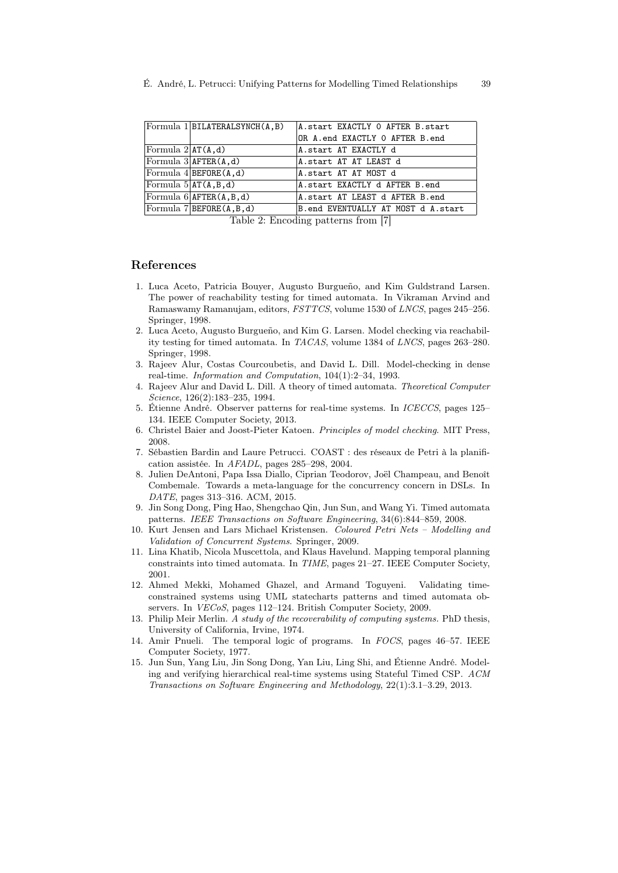|                                          | $\text{Formula 1}$ BILATERALSYNCH(A, B)    | A.start EXACTLY O AFTER B.start    |
|------------------------------------------|--------------------------------------------|------------------------------------|
|                                          |                                            | OR A.end EXACTLY O AFTER B.end     |
| $\text{Formula } 2\vert \text{AT}(A, d)$ |                                            | A.start AT EXACTLY d               |
|                                          | $\text{Formula } 3 \text{AFTER}(A,d) $     | A.start AT AT LEAST d              |
|                                          | $\text{Formula } 4 \text{BEFORE}(A,d)$     | A.start AT AT MOST d               |
|                                          | $\text{Formula } 5   AT(A, B, d)$          | A.start EXACTLY d AFTER B.end      |
|                                          | Formula $6$ AFTER $(A, B, d)$              | A.start AT LEAST d AFTER B.end     |
|                                          | $\text{Formula } 7 \text{BEFORE}(A, B, d)$ | B.end EVENTUALLY AT MOST d A.start |
|                                          | $\sim$                                     | $F \rightarrow 1$<br>$\mathbf{P}$  |

Table 2: Encoding patterns from [7]

#### References

- 1. Luca Aceto, Patricia Bouyer, Augusto Burgueño, and Kim Guldstrand Larsen. The power of reachability testing for timed automata. In Vikraman Arvind and Ramaswamy Ramanujam, editors, FSTTCS, volume 1530 of LNCS, pages 245–256. Springer, 1998.
- 2. Luca Aceto, Augusto Burgueño, and Kim G. Larsen. Model checking via reachability testing for timed automata. In TACAS, volume 1384 of LNCS, pages 263–280. Springer, 1998.
- 3. Rajeev Alur, Costas Courcoubetis, and David L. Dill. Model-checking in dense real-time. Information and Computation, 104(1):2–34, 1993.
- 4. Rajeev Alur and David L. Dill. A theory of timed automata. Theoretical Computer Science, 126(2):183–235, 1994.
- 5. Étienne André. Observer patterns for real-time systems. In ICECCS, pages 125– 134. IEEE Computer Society, 2013.
- 6. Christel Baier and Joost-Pieter Katoen. Principles of model checking. MIT Press, 2008.
- 7. Sébastien Bardin and Laure Petrucci. COAST : des réseaux de Petri à la planification assistée. In AFADL, pages 285–298, 2004.
- 8. Julien DeAntoni, Papa Issa Diallo, Ciprian Teodorov, Joël Champeau, and Benoît Combemale. Towards a meta-language for the concurrency concern in DSLs. In DATE, pages 313–316. ACM, 2015.
- 9. Jin Song Dong, Ping Hao, Shengchao Qin, Jun Sun, and Wang Yi. Timed automata patterns. IEEE Transactions on Software Engineering, 34(6):844–859, 2008.
- 10. Kurt Jensen and Lars Michael Kristensen. Coloured Petri Nets Modelling and Validation of Concurrent Systems. Springer, 2009.
- 11. Lina Khatib, Nicola Muscettola, and Klaus Havelund. Mapping temporal planning constraints into timed automata. In TIME, pages 21–27. IEEE Computer Society, 2001.
- 12. Ahmed Mekki, Mohamed Ghazel, and Armand Toguyeni. Validating timeconstrained systems using UML statecharts patterns and timed automata observers. In VECoS, pages 112–124. British Computer Society, 2009.
- 13. Philip Meir Merlin. A study of the recoverability of computing systems. PhD thesis, University of California, Irvine, 1974.
- 14. Amir Pnueli. The temporal logic of programs. In FOCS, pages 46–57. IEEE Computer Society, 1977.
- 15. Jun Sun, Yang Liu, Jin Song Dong, Yan Liu, Ling Shi, and Étienne André. Modeling and verifying hierarchical real-time systems using Stateful Timed CSP. ACM Transactions on Software Engineering and Methodology, 22(1):3.1–3.29, 2013.